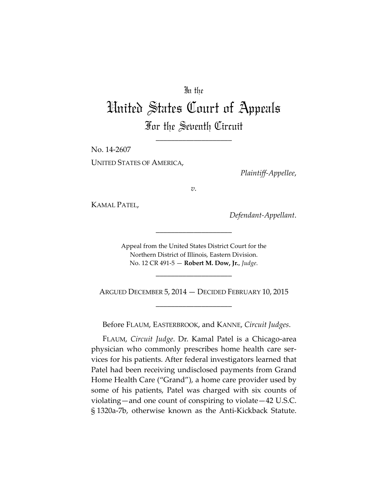### In the

# United States Court of Appeals For the Seventh Circuit

\_\_\_\_\_\_\_\_\_\_\_\_\_\_\_\_\_\_\_\_

No. 14-2607 UNITED STATES OF AMERICA,

*Plaintiff-Appellee*,

*v.*

KAMAL PATEL,

*Defendant-Appellant*.

Appeal from the United States District Court for the Northern District of Illinois, Eastern Division. No. 12 CR 491-5 — **Robert M. Dow, Jr.**, *Judge*.

\_\_\_\_\_\_\_\_\_\_\_\_\_\_\_\_\_\_\_\_

\_\_\_\_\_\_\_\_\_\_\_\_\_\_\_\_\_\_\_\_

ARGUED DECEMBER 5, 2014 — DECIDED FEBRUARY 10, 2015 \_\_\_\_\_\_\_\_\_\_\_\_\_\_\_\_\_\_\_\_

Before FLAUM, EASTERBROOK, and KANNE, *Circuit Judges*.

FLAUM, *Circuit Judge*. Dr. Kamal Patel is a Chicago-area physician who commonly prescribes home health care services for his patients. After federal investigators learned that Patel had been receiving undisclosed payments from Grand Home Health Care ("Grand"), a home care provider used by some of his patients, Patel was charged with six counts of violating—and one count of conspiring to violate—42 U.S.C. § 1320a-7b, otherwise known as the Anti-Kickback Statute.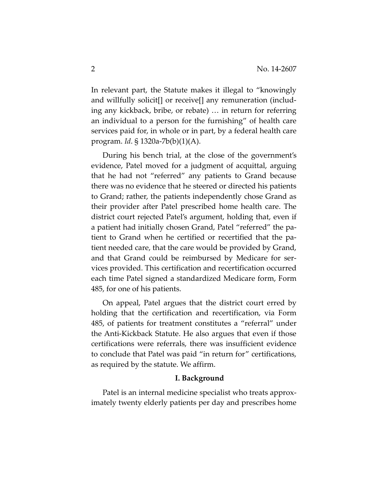In relevant part, the Statute makes it illegal to "knowingly and willfully solicit[] or receive[] any remuneration (including any kickback, bribe, or rebate) … in return for referring an individual to a person for the furnishing" of health care services paid for, in whole or in part, by a federal health care program. *Id*. § 1320a-7b(b)(1)(A).

During his bench trial, at the close of the government's evidence, Patel moved for a judgment of acquittal, arguing that he had not "referred" any patients to Grand because there was no evidence that he steered or directed his patients to Grand; rather, the patients independently chose Grand as their provider after Patel prescribed home health care. The district court rejected Patel's argument, holding that, even if a patient had initially chosen Grand, Patel "referred" the patient to Grand when he certified or recertified that the patient needed care, that the care would be provided by Grand, and that Grand could be reimbursed by Medicare for services provided. This certification and recertification occurred each time Patel signed a standardized Medicare form, Form 485, for one of his patients.

On appeal, Patel argues that the district court erred by holding that the certification and recertification, via Form 485, of patients for treatment constitutes a "referral" under the Anti-Kickback Statute. He also argues that even if those certifications were referrals, there was insufficient evidence to conclude that Patel was paid "in return for" certifications, as required by the statute. We affirm.

#### **I. Background**

Patel is an internal medicine specialist who treats approximately twenty elderly patients per day and prescribes home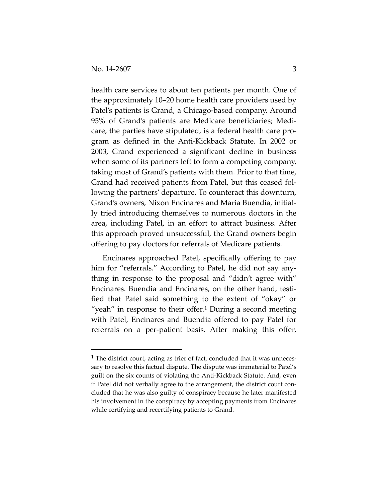health care services to about ten patients per month. One of the approximately 10–20 home health care providers used by Patel's patients is Grand, a Chicago-based company. Around 95% of Grand's patients are Medicare beneficiaries; Medicare, the parties have stipulated, is a federal health care program as defined in the Anti-Kickback Statute. In 2002 or 2003, Grand experienced a significant decline in business when some of its partners left to form a competing company, taking most of Grand's patients with them. Prior to that time, Grand had received patients from Patel, but this ceased following the partners' departure. To counteract this downturn, Grand's owners, Nixon Encinares and Maria Buendia, initially tried introducing themselves to numerous doctors in the area, including Patel, in an effort to attract business. After this approach proved unsuccessful, the Grand owners begin offering to pay doctors for referrals of Medicare patients.

Encinares approached Patel, specifically offering to pay him for "referrals." According to Patel, he did not say anything in response to the proposal and "didn't agree with" Encinares. Buendia and Encinares, on the other hand, testified that Patel said something to the extent of "okay" or "yeah" in response to their offer.<sup>[1](#page-2-0)</sup> During a second meeting with Patel, Encinares and Buendia offered to pay Patel for referrals on a per-patient basis. After making this offer,

<span id="page-2-0"></span> $<sup>1</sup>$  The district court, acting as trier of fact, concluded that it was unneces-</sup> sary to resolve this factual dispute. The dispute was immaterial to Patel's guilt on the six counts of violating the Anti-Kickback Statute. And, even if Patel did not verbally agree to the arrangement, the district court concluded that he was also guilty of conspiracy because he later manifested his involvement in the conspiracy by accepting payments from Encinares while certifying and recertifying patients to Grand.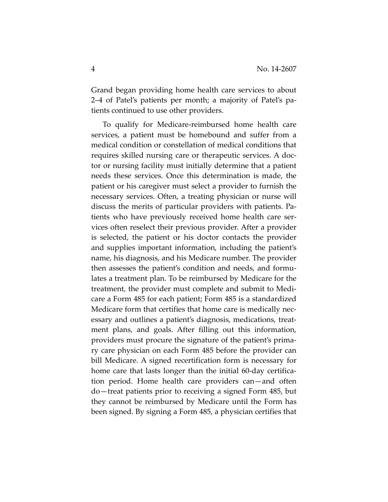Grand began providing home health care services to about 2–4 of Patel's patients per month; a majority of Patel's patients continued to use other providers.

To qualify for Medicare-reimbursed home health care services, a patient must be homebound and suffer from a medical condition or constellation of medical conditions that requires skilled nursing care or therapeutic services. A doctor or nursing facility must initially determine that a patient needs these services. Once this determination is made, the patient or his caregiver must select a provider to furnish the necessary services. Often, a treating physician or nurse will discuss the merits of particular providers with patients. Patients who have previously received home health care services often reselect their previous provider. After a provider is selected, the patient or his doctor contacts the provider and supplies important information, including the patient's name, his diagnosis, and his Medicare number. The provider then assesses the patient's condition and needs, and formulates a treatment plan. To be reimbursed by Medicare for the treatment, the provider must complete and submit to Medicare a Form 485 for each patient; Form 485 is a standardized Medicare form that certifies that home care is medically necessary and outlines a patient's diagnosis, medications, treatment plans, and goals. After filling out this information, providers must procure the signature of the patient's primary care physician on each Form 485 before the provider can bill Medicare. A signed recertification form is necessary for home care that lasts longer than the initial 60-day certification period. Home health care providers can—and often do—treat patients prior to receiving a signed Form 485, but they cannot be reimbursed by Medicare until the Form has been signed. By signing a Form 485, a physician certifies that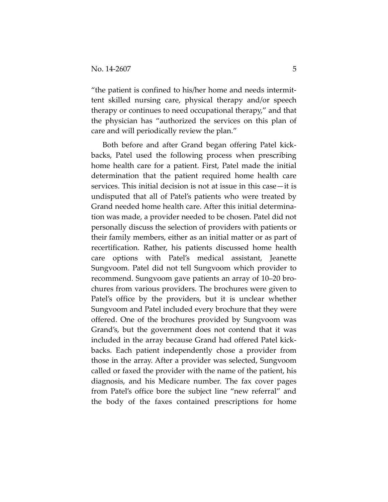"the patient is confined to his/her home and needs intermittent skilled nursing care, physical therapy and/or speech therapy or continues to need occupational therapy," and that the physician has "authorized the services on this plan of care and will periodically review the plan."

Both before and after Grand began offering Patel kickbacks, Patel used the following process when prescribing home health care for a patient. First, Patel made the initial determination that the patient required home health care services. This initial decision is not at issue in this case—it is undisputed that all of Patel's patients who were treated by Grand needed home health care. After this initial determination was made, a provider needed to be chosen. Patel did not personally discuss the selection of providers with patients or their family members, either as an initial matter or as part of recertification. Rather, his patients discussed home health care options with Patel's medical assistant, Jeanette Sungvoom. Patel did not tell Sungvoom which provider to recommend. Sungvoom gave patients an array of 10–20 brochures from various providers. The brochures were given to Patel's office by the providers, but it is unclear whether Sungvoom and Patel included every brochure that they were offered. One of the brochures provided by Sungvoom was Grand's, but the government does not contend that it was included in the array because Grand had offered Patel kickbacks. Each patient independently chose a provider from those in the array. After a provider was selected, Sungvoom called or faxed the provider with the name of the patient, his diagnosis, and his Medicare number. The fax cover pages from Patel's office bore the subject line "new referral" and the body of the faxes contained prescriptions for home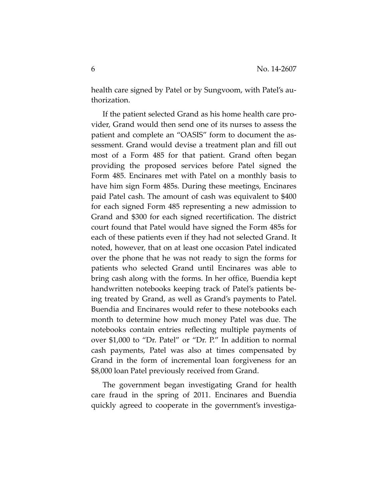health care signed by Patel or by Sungvoom, with Patel's authorization.

If the patient selected Grand as his home health care provider, Grand would then send one of its nurses to assess the patient and complete an "OASIS" form to document the assessment. Grand would devise a treatment plan and fill out most of a Form 485 for that patient. Grand often began providing the proposed services before Patel signed the Form 485. Encinares met with Patel on a monthly basis to have him sign Form 485s. During these meetings, Encinares paid Patel cash. The amount of cash was equivalent to \$400 for each signed Form 485 representing a new admission to Grand and \$300 for each signed recertification. The district court found that Patel would have signed the Form 485s for each of these patients even if they had not selected Grand. It noted, however, that on at least one occasion Patel indicated over the phone that he was not ready to sign the forms for patients who selected Grand until Encinares was able to bring cash along with the forms. In her office, Buendia kept handwritten notebooks keeping track of Patel's patients being treated by Grand, as well as Grand's payments to Patel. Buendia and Encinares would refer to these notebooks each month to determine how much money Patel was due. The notebooks contain entries reflecting multiple payments of over \$1,000 to "Dr. Patel" or "Dr. P." In addition to normal cash payments, Patel was also at times compensated by Grand in the form of incremental loan forgiveness for an \$8,000 loan Patel previously received from Grand.

The government began investigating Grand for health care fraud in the spring of 2011. Encinares and Buendia quickly agreed to cooperate in the government's investiga-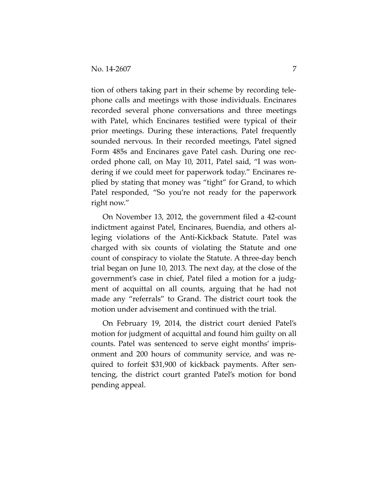tion of others taking part in their scheme by recording telephone calls and meetings with those individuals. Encinares recorded several phone conversations and three meetings with Patel, which Encinares testified were typical of their prior meetings. During these interactions, Patel frequently sounded nervous. In their recorded meetings, Patel signed Form 485s and Encinares gave Patel cash. During one recorded phone call, on May 10, 2011, Patel said, "I was wondering if we could meet for paperwork today." Encinares replied by stating that money was "tight" for Grand, to which Patel responded, "So you're not ready for the paperwork right now."

On November 13, 2012, the government filed a 42-count indictment against Patel, Encinares, Buendia, and others alleging violations of the Anti-Kickback Statute. Patel was charged with six counts of violating the Statute and one count of conspiracy to violate the Statute. A three-day bench trial began on June 10, 2013. The next day, at the close of the government's case in chief, Patel filed a motion for a judgment of acquittal on all counts, arguing that he had not made any "referrals" to Grand. The district court took the motion under advisement and continued with the trial.

On February 19, 2014, the district court denied Patel's motion for judgment of acquittal and found him guilty on all counts. Patel was sentenced to serve eight months' imprisonment and 200 hours of community service, and was required to forfeit \$31,900 of kickback payments. After sentencing, the district court granted Patel's motion for bond pending appeal.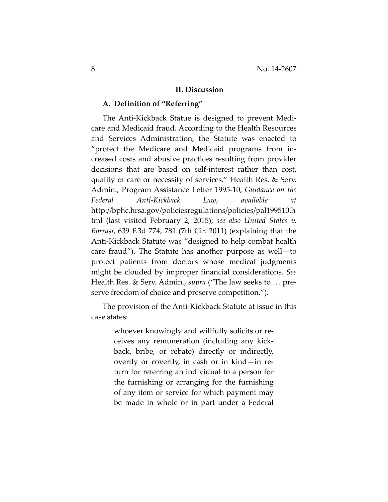#### **II. Discussion**

#### **A. Definition of "Referring"**

The Anti-Kickback Statue is designed to prevent Medicare and Medicaid fraud. According to the Health Resources and Services Administration, the Statute was enacted to "protect the Medicare and Medicaid programs from increased costs and abusive practices resulting from provider decisions that are based on self-interest rather than cost, quality of care or necessity of services." Health Res. & Serv. Admin., Program Assistance Letter 1995-10, *Guidance on the Federal Anti-Kickback Law*, *available at*  http://bphc.hrsa.gov/policiesregulations/policies/pal199510.h tml (last visited February 2, 2015); *see also United States v. Borrasi*, 639 F.3d 774, 781 (7th Cir. 2011) (explaining that the Anti-Kickback Statute was "designed to help combat health care fraud"). The Statute has another purpose as well—to protect patients from doctors whose medical judgments might be clouded by improper financial considerations. *See*  Health Res. & Serv. Admin., *supra* ("The law seeks to … preserve freedom of choice and preserve competition.").

The provision of the Anti-Kickback Statute at issue in this case states:

> whoever knowingly and willfully solicits or receives any remuneration (including any kickback, bribe, or rebate) directly or indirectly, overtly or covertly, in cash or in kind—in return for referring an individual to a person for the furnishing or arranging for the furnishing of any item or service for which payment may be made in whole or in part under a Federal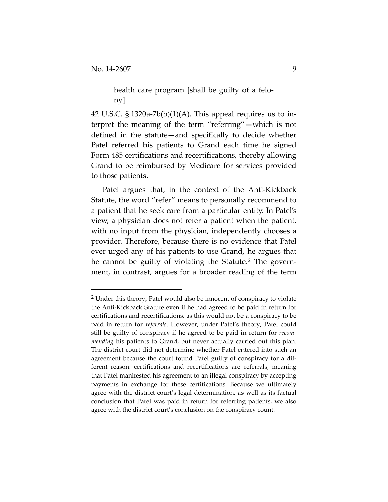health care program [shall be guilty of a felony].

42 U.S.C.  $\S 1320a-7b(b)(1)(A)$ . This appeal requires us to interpret the meaning of the term "referring"—which is not defined in the statute—and specifically to decide whether Patel referred his patients to Grand each time he signed Form 485 certifications and recertifications, thereby allowing Grand to be reimbursed by Medicare for services provided to those patients.

Patel argues that, in the context of the Anti-Kickback Statute, the word "refer" means to personally recommend to a patient that he seek care from a particular entity. In Patel's view, a physician does not refer a patient when the patient, with no input from the physician, independently chooses a provider. Therefore, because there is no evidence that Patel ever urged any of his patients to use Grand, he argues that he cannot be guilty of violating the Statute.<sup>[2](#page-8-0)</sup> The government, in contrast, argues for a broader reading of the term

<span id="page-8-0"></span><sup>&</sup>lt;sup>2</sup> Under this theory, Patel would also be innocent of conspiracy to violate the Anti-Kickback Statute even if he had agreed to be paid in return for certifications and recertifications, as this would not be a conspiracy to be paid in return for *referrals*. However, under Patel's theory, Patel could still be guilty of conspiracy if he agreed to be paid in return for *recommending* his patients to Grand, but never actually carried out this plan. The district court did not determine whether Patel entered into such an agreement because the court found Patel guilty of conspiracy for a different reason: certifications and recertifications are referrals, meaning that Patel manifested his agreement to an illegal conspiracy by accepting payments in exchange for these certifications. Because we ultimately agree with the district court's legal determination, as well as its factual conclusion that Patel was paid in return for referring patients, we also agree with the district court's conclusion on the conspiracy count.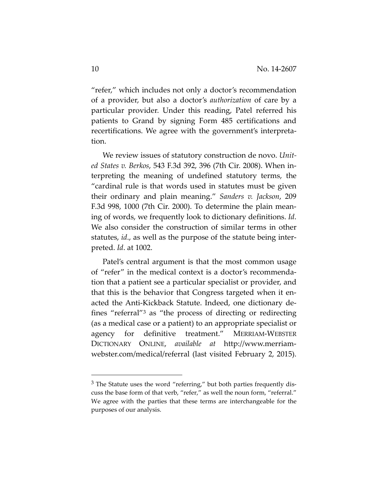"refer," which includes not only a doctor's recommendation of a provider, but also a doctor's *authorization* of care by a particular provider. Under this reading, Patel referred his patients to Grand by signing Form 485 certifications and recertifications. We agree with the government's interpretation.

We review issues of statutory construction de novo. *United States v. Berkos*, 543 F.3d 392, 396 (7th Cir. 2008). When interpreting the meaning of undefined statutory terms, the "cardinal rule is that words used in statutes must be given their ordinary and plain meaning." *Sanders v. Jackson*, 209 F.3d 998, 1000 (7th Cir. 2000). To determine the plain meaning of words, we frequently look to dictionary definitions. *Id*. We also consider the construction of similar terms in other statutes, *id*., as well as the purpose of the statute being interpreted. *Id*. at 1002.

Patel's central argument is that the most common usage of "refer" in the medical context is a doctor's recommendation that a patient see a particular specialist or provider, and that this is the behavior that Congress targeted when it enacted the Anti-Kickback Statute. Indeed, one dictionary defines "referral"[3](#page-9-0) as "the process of directing or redirecting (as a medical case or a patient) to an appropriate specialist or agency for definitive treatment." MERRIAM-WEBSTER DICTIONARY ONLINE, *available at* http://www.merriamwebster.com/medical/referral (last visited February 2, 2015).

 $\overline{a}$ 

<span id="page-9-0"></span> $3$  The Statute uses the word "referring," but both parties frequently discuss the base form of that verb, "refer," as well the noun form, "referral." We agree with the parties that these terms are interchangeable for the purposes of our analysis.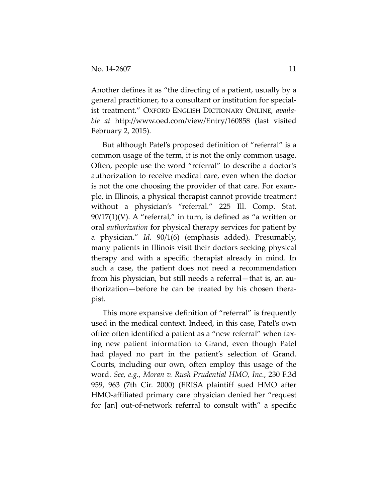Another defines it as "the directing of a patient, usually by a general practitioner, to a consultant or institution for specialist treatment." OXFORD ENGLISH DICTIONARY ONLINE, *available at* http://www.oed.com/view/Entry/160858 (last visited February 2, 2015).

But although Patel's proposed definition of "referral" is a common usage of the term, it is not the only common usage. Often, people use the word "referral" to describe a doctor's authorization to receive medical care, even when the doctor is not the one choosing the provider of that care. For example, in Illinois, a physical therapist cannot provide treatment without a physician's "referral." 225 Ill. Comp. Stat.  $90/17(1)(V)$ . A "referral," in turn, is defined as "a written or oral *authorization* for physical therapy services for patient by a physician." *Id*. 90/1(6) (emphasis added). Presumably, many patients in Illinois visit their doctors seeking physical therapy and with a specific therapist already in mind. In such a case, the patient does not need a recommendation from his physician, but still needs a referral—that is, an authorization—before he can be treated by his chosen therapist.

This more expansive definition of "referral" is frequently used in the medical context. Indeed, in this case, Patel's own office often identified a patient as a "new referral" when faxing new patient information to Grand, even though Patel had played no part in the patient's selection of Grand. Courts, including our own, often employ this usage of the word. *See, e.g.*, *Moran v. Rush Prudential HMO, Inc.*, 230 F.3d 959, 963 (7th Cir. 2000) (ERISA plaintiff sued HMO after HMO-affiliated primary care physician denied her "request for [an] out-of-network referral to consult with" a specific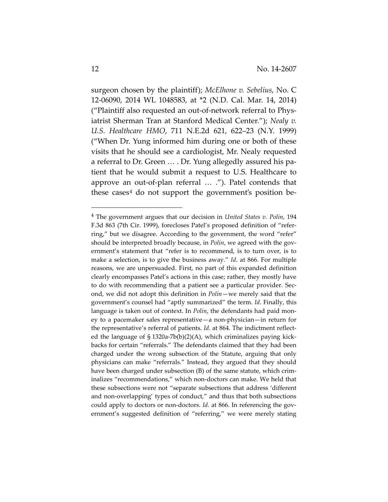surgeon chosen by the plaintiff); *McElhone v. Sebelius*, No. C 12-06090, 2014 WL 1048583, at \*2 (N.D. Cal. Mar. 14, 2014) ("Plaintiff also requested an out-of-network referral to Physiatrist Sherman Tran at Stanford Medical Center."); *Nealy v. U.S. Healthcare HMO*, 711 N.E.2d 621, 622–23 (N.Y. 1999) ("When Dr. Yung informed him during one or both of these visits that he should see a cardiologist, Mr. Nealy requested a referral to Dr. Green … . Dr. Yung allegedly assured his patient that he would submit a request to U.S. Healthcare to approve an out-of-plan referral … ."). Patel contends that these cases<sup>[4](#page-11-0)</sup> do not support the government's position be-

 $\overline{a}$ 

<span id="page-11-0"></span><sup>4</sup> The government argues that our decision in *United States v. Polin*, 194 F.3d 863 (7th Cir. 1999), forecloses Patel's proposed definition of "referring," but we disagree. According to the government, the word "refer" should be interpreted broadly because, in *Polin*, we agreed with the government's statement that "refer is to recommend, is to turn over, is to make a selection, is to give the business away." *Id*. at 866. For multiple reasons, we are unpersuaded. First, no part of this expanded definition clearly encompasses Patel's actions in this case; rather, they mostly have to do with recommending that a patient see a particular provider. Second, we did not adopt this definition in *Polin*—we merely said that the government's counsel had "aptly summarized" the term. *Id*. Finally, this language is taken out of context. In *Polin*, the defendants had paid money to a pacemaker sales representative—a non-physician—in return for the representative's referral of patients. *Id*. at 864. The indictment reflected the language of § 1320a-7b(b)(2)(A), which criminalizes paying kickbacks for certain "referrals." The defendants claimed that they had been charged under the wrong subsection of the Statute, arguing that only physicians can make "referrals." Instead, they argued that they should have been charged under subsection (B) of the same statute, which criminalizes "recommendations," which non-doctors can make. We held that these subsections were not "separate subsections that address 'different and non-overlapping' types of conduct," and thus that both subsections could apply to doctors or non-doctors. *Id*. at 866. In referencing the government's suggested definition of "referring," we were merely stating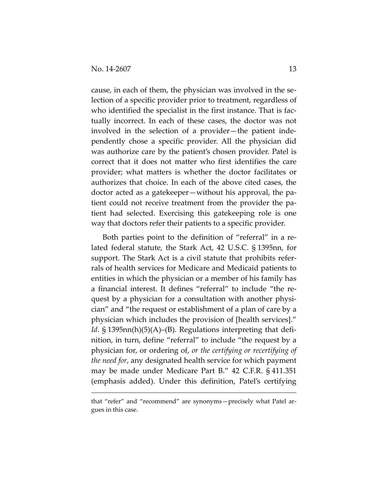cause, in each of them, the physician was involved in the selection of a specific provider prior to treatment, regardless of who identified the specialist in the first instance. That is factually incorrect. In each of these cases, the doctor was not involved in the selection of a provider—the patient independently chose a specific provider. All the physician did was authorize care by the patient's chosen provider. Patel is correct that it does not matter who first identifies the care provider; what matters is whether the doctor facilitates or authorizes that choice. In each of the above cited cases, the doctor acted as a gatekeeper—without his approval, the patient could not receive treatment from the provider the patient had selected. Exercising this gatekeeping role is one way that doctors refer their patients to a specific provider.

Both parties point to the definition of "referral" in a related federal statute, the Stark Act, 42 U.S.C. § 1395nn, for support. The Stark Act is a civil statute that prohibits referrals of health services for Medicare and Medicaid patients to entities in which the physician or a member of his family has a financial interest. It defines "referral" to include "the request by a physician for a consultation with another physician" and "the request or establishment of a plan of care by a physician which includes the provision of [health services]." *Id*. § 1395nn(h)(5)(A)–(B). Regulations interpreting that definition, in turn, define "referral" to include "the request by a physician for, or ordering of, *or the certifying or recertifying of the need for*, any designated health service for which payment may be made under Medicare Part B." 42 C.F.R. § 411.351 (emphasis added). Under this definition, Patel's certifying

that "refer" and "recommend" are synonyms—precisely what Patel argues in this case.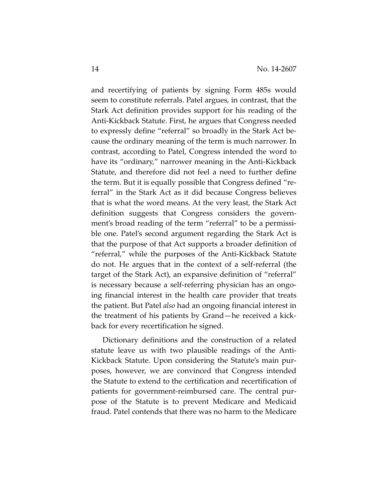and recertifying of patients by signing Form 485s would seem to constitute referrals. Patel argues, in contrast, that the Stark Act definition provides support for his reading of the Anti-Kickback Statute. First, he argues that Congress needed to expressly define "referral" so broadly in the Stark Act because the ordinary meaning of the term is much narrower. In contrast, according to Patel, Congress intended the word to have its "ordinary," narrower meaning in the Anti-Kickback Statute, and therefore did not feel a need to further define the term. But it is equally possible that Congress defined "referral" in the Stark Act as it did because Congress believes that is what the word means. At the very least, the Stark Act definition suggests that Congress considers the government's broad reading of the term "referral" to be a permissible one. Patel's second argument regarding the Stark Act is that the purpose of that Act supports a broader definition of "referral," while the purposes of the Anti-Kickback Statute do not. He argues that in the context of a self-referral (the target of the Stark Act), an expansive definition of "referral" is necessary because a self-referring physician has an ongoing financial interest in the health care provider that treats the patient. But Patel *also* had an ongoing financial interest in the treatment of his patients by Grand—he received a kickback for every recertification he signed.

Dictionary definitions and the construction of a related statute leave us with two plausible readings of the Anti-Kickback Statute. Upon considering the Statute's main purposes, however, we are convinced that Congress intended the Statute to extend to the certification and recertification of patients for government-reimbursed care. The central purpose of the Statute is to prevent Medicare and Medicaid fraud. Patel contends that there was no harm to the Medicare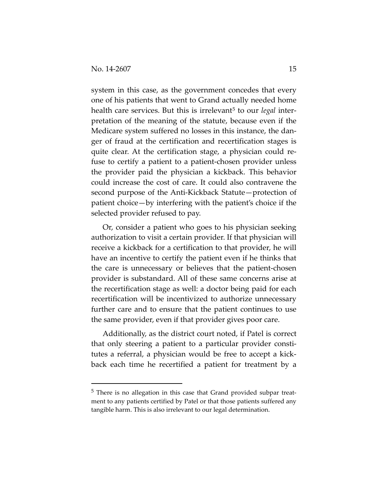system in this case, as the government concedes that every one of his patients that went to Grand actually needed home health care services. But this is irrelevant<sup>[5](#page-14-0)</sup> to our *legal* interpretation of the meaning of the statute, because even if the Medicare system suffered no losses in this instance, the danger of fraud at the certification and recertification stages is quite clear. At the certification stage, a physician could refuse to certify a patient to a patient-chosen provider unless the provider paid the physician a kickback. This behavior could increase the cost of care. It could also contravene the second purpose of the Anti-Kickback Statute—protection of patient choice—by interfering with the patient's choice if the selected provider refused to pay.

Or, consider a patient who goes to his physician seeking authorization to visit a certain provider. If that physician will receive a kickback for a certification to that provider, he will have an incentive to certify the patient even if he thinks that the care is unnecessary or believes that the patient-chosen provider is substandard. All of these same concerns arise at the recertification stage as well: a doctor being paid for each recertification will be incentivized to authorize unnecessary further care and to ensure that the patient continues to use the same provider, even if that provider gives poor care.

Additionally, as the district court noted, if Patel is correct that only steering a patient to a particular provider constitutes a referral, a physician would be free to accept a kickback each time he recertified a patient for treatment by a

<span id="page-14-0"></span><sup>5</sup> There is no allegation in this case that Grand provided subpar treatment to any patients certified by Patel or that those patients suffered any tangible harm. This is also irrelevant to our legal determination.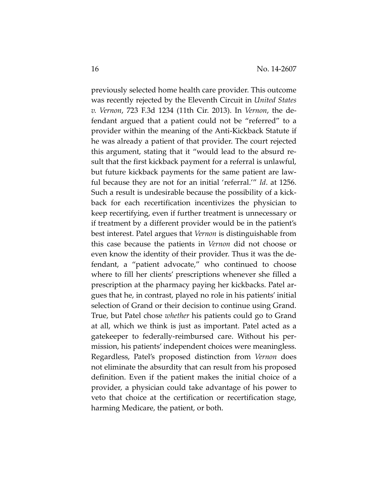previously selected home health care provider. This outcome was recently rejected by the Eleventh Circuit in *United States v. Vernon*, 723 F.3d 1234 (11th Cir. 2013). In *Vernon*, the defendant argued that a patient could not be "referred" to a provider within the meaning of the Anti-Kickback Statute if he was already a patient of that provider. The court rejected this argument, stating that it "would lead to the absurd result that the first kickback payment for a referral is unlawful, but future kickback payments for the same patient are lawful because they are not for an initial 'referral.'" *Id*. at 1256. Such a result is undesirable because the possibility of a kickback for each recertification incentivizes the physician to keep recertifying, even if further treatment is unnecessary or if treatment by a different provider would be in the patient's best interest. Patel argues that *Vernon* is distinguishable from this case because the patients in *Vernon* did not choose or even know the identity of their provider. Thus it was the defendant, a "patient advocate," who continued to choose where to fill her clients' prescriptions whenever she filled a prescription at the pharmacy paying her kickbacks. Patel argues that he, in contrast, played no role in his patients' initial selection of Grand or their decision to continue using Grand. True, but Patel chose *whether* his patients could go to Grand at all, which we think is just as important. Patel acted as a gatekeeper to federally-reimbursed care. Without his permission, his patients' independent choices were meaningless. Regardless, Patel's proposed distinction from *Vernon* does not eliminate the absurdity that can result from his proposed definition. Even if the patient makes the initial choice of a provider, a physician could take advantage of his power to veto that choice at the certification or recertification stage, harming Medicare, the patient, or both.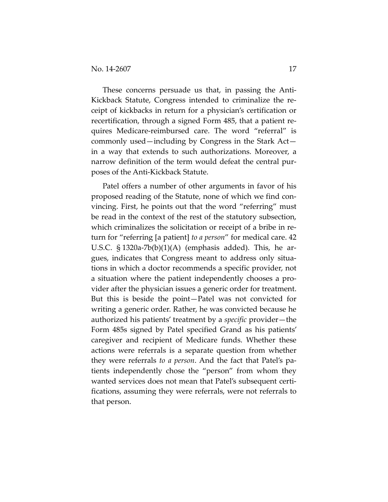These concerns persuade us that, in passing the Anti-Kickback Statute, Congress intended to criminalize the receipt of kickbacks in return for a physician's certification or recertification, through a signed Form 485, that a patient requires Medicare-reimbursed care. The word "referral" is commonly used—including by Congress in the Stark Act in a way that extends to such authorizations. Moreover, a narrow definition of the term would defeat the central purposes of the Anti-Kickback Statute.

Patel offers a number of other arguments in favor of his proposed reading of the Statute, none of which we find convincing. First, he points out that the word "referring" must be read in the context of the rest of the statutory subsection, which criminalizes the solicitation or receipt of a bribe in return for "referring [a patient] *to a person*" for medical care. 42 U.S.C.  $\S$  1320a-7b(b)(1)(A) (emphasis added). This, he argues, indicates that Congress meant to address only situations in which a doctor recommends a specific provider, not a situation where the patient independently chooses a provider after the physician issues a generic order for treatment. But this is beside the point—Patel was not convicted for writing a generic order. Rather, he was convicted because he authorized his patients' treatment by a *specific* provider—the Form 485s signed by Patel specified Grand as his patients' caregiver and recipient of Medicare funds. Whether these actions were referrals is a separate question from whether they were referrals *to a person*. And the fact that Patel's patients independently chose the "person" from whom they wanted services does not mean that Patel's subsequent certifications, assuming they were referrals, were not referrals to that person.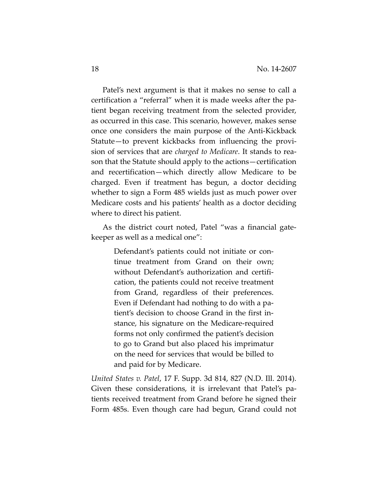Patel's next argument is that it makes no sense to call a certification a "referral" when it is made weeks after the patient began receiving treatment from the selected provider, as occurred in this case. This scenario, however, makes sense once one considers the main purpose of the Anti-Kickback Statute—to prevent kickbacks from influencing the provision of services that are *charged to Medicare*. It stands to reason that the Statute should apply to the actions—certification and recertification—which directly allow Medicare to be charged. Even if treatment has begun, a doctor deciding whether to sign a Form 485 wields just as much power over Medicare costs and his patients' health as a doctor deciding where to direct his patient.

As the district court noted, Patel "was a financial gatekeeper as well as a medical one":

> Defendant's patients could not initiate or continue treatment from Grand on their own; without Defendant's authorization and certification, the patients could not receive treatment from Grand, regardless of their preferences. Even if Defendant had nothing to do with a patient's decision to choose Grand in the first instance, his signature on the Medicare-required forms not only confirmed the patient's decision to go to Grand but also placed his imprimatur on the need for services that would be billed to and paid for by Medicare.

*United States v. Patel*, 17 F. Supp. 3d 814, 827 (N.D. Ill. 2014). Given these considerations, it is irrelevant that Patel's patients received treatment from Grand before he signed their Form 485s. Even though care had begun, Grand could not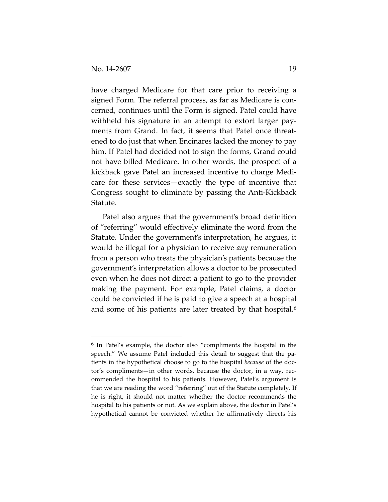have charged Medicare for that care prior to receiving a signed Form. The referral process, as far as Medicare is concerned, continues until the Form is signed. Patel could have withheld his signature in an attempt to extort larger payments from Grand. In fact, it seems that Patel once threatened to do just that when Encinares lacked the money to pay him. If Patel had decided not to sign the forms, Grand could not have billed Medicare. In other words, the prospect of a kickback gave Patel an increased incentive to charge Medicare for these services—exactly the type of incentive that Congress sought to eliminate by passing the Anti-Kickback Statute.

Patel also argues that the government's broad definition of "referring" would effectively eliminate the word from the Statute. Under the government's interpretation, he argues, it would be illegal for a physician to receive *any* remuneration from a person who treats the physician's patients because the government's interpretation allows a doctor to be prosecuted even when he does not direct a patient to go to the provider making the payment. For example, Patel claims, a doctor could be convicted if he is paid to give a speech at a hospital and some of his patients are later treated by that hospital.<sup>[6](#page-18-0)</sup>

<span id="page-18-0"></span><sup>6</sup> In Patel's example, the doctor also "compliments the hospital in the speech." We assume Patel included this detail to suggest that the patients in the hypothetical choose to go to the hospital *because* of the doctor's compliments—in other words, because the doctor, in a way, recommended the hospital to his patients. However, Patel's argument is that we are reading the word "referring" out of the Statute completely. If he is right, it should not matter whether the doctor recommends the hospital to his patients or not. As we explain above, the doctor in Patel's hypothetical cannot be convicted whether he affirmatively directs his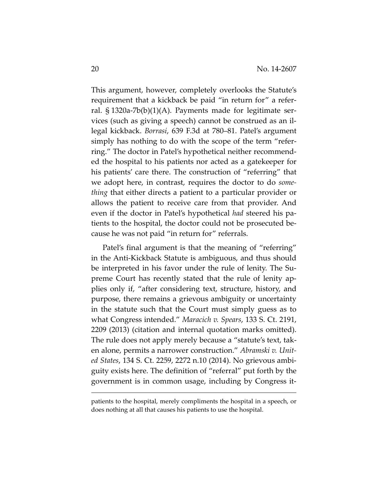This argument, however, completely overlooks the Statute's requirement that a kickback be paid "in return for" a referral. § 1320a-7b(b)(1)(A). Payments made for legitimate services (such as giving a speech) cannot be construed as an illegal kickback. *Borrasi*, 639 F.3d at 780–81. Patel's argument simply has nothing to do with the scope of the term "referring." The doctor in Patel's hypothetical neither recommended the hospital to his patients nor acted as a gatekeeper for his patients' care there. The construction of "referring" that we adopt here, in contrast, requires the doctor to do *something* that either directs a patient to a particular provider or allows the patient to receive care from that provider. And even if the doctor in Patel's hypothetical *had* steered his patients to the hospital, the doctor could not be prosecuted because he was not paid "in return for" referrals.

Patel's final argument is that the meaning of "referring" in the Anti-Kickback Statute is ambiguous, and thus should be interpreted in his favor under the rule of lenity. The Supreme Court has recently stated that the rule of lenity applies only if, "after considering text, structure, history, and purpose, there remains a grievous ambiguity or uncertainty in the statute such that the Court must simply guess as to what Congress intended." *Maracich v. Spears*, 133 S. Ct. 2191, 2209 (2013) (citation and internal quotation marks omitted). The rule does not apply merely because a "statute's text, taken alone, permits a narrower construction." *Abramski v. United States*, 134 S. Ct. 2259, 2272 n.10 (2014). No grievous ambiguity exists here. The definition of "referral" put forth by the government is in common usage, including by Congress it-

patients to the hospital, merely compliments the hospital in a speech, or does nothing at all that causes his patients to use the hospital.

 $\overline{a}$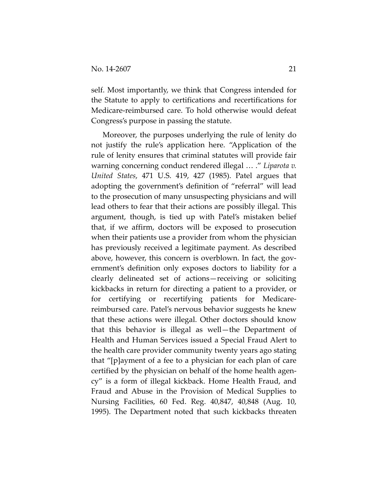self. Most importantly, we think that Congress intended for the Statute to apply to certifications and recertifications for Medicare-reimbursed care. To hold otherwise would defeat Congress's purpose in passing the statute.

Moreover, the purposes underlying the rule of lenity do not justify the rule's application here. "Application of the rule of lenity ensures that criminal statutes will provide fair warning concerning conduct rendered illegal … ." *Liparota v. United States*, 471 U.S. 419, 427 (1985). Patel argues that adopting the government's definition of "referral" will lead to the prosecution of many unsuspecting physicians and will lead others to fear that their actions are possibly illegal. This argument, though, is tied up with Patel's mistaken belief that, if we affirm, doctors will be exposed to prosecution when their patients use a provider from whom the physician has previously received a legitimate payment. As described above, however, this concern is overblown. In fact, the government's definition only exposes doctors to liability for a clearly delineated set of actions—receiving or soliciting kickbacks in return for directing a patient to a provider, or for certifying or recertifying patients for Medicarereimbursed care. Patel's nervous behavior suggests he knew that these actions were illegal. Other doctors should know that this behavior is illegal as well—the Department of Health and Human Services issued a Special Fraud Alert to the health care provider community twenty years ago stating that "[p]ayment of a fee to a physician for each plan of care certified by the physician on behalf of the home health agency" is a form of illegal kickback. Home Health Fraud, and Fraud and Abuse in the Provision of Medical Supplies to Nursing Facilities, 60 Fed. Reg. 40,847, 40,848 (Aug. 10, 1995). The Department noted that such kickbacks threaten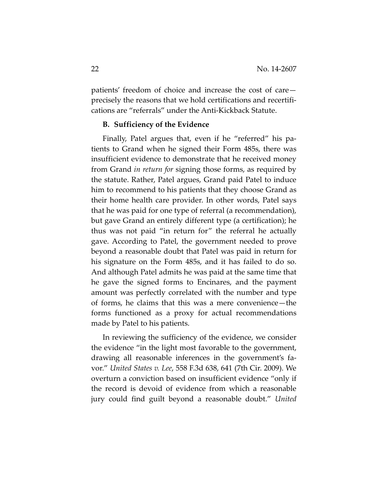patients' freedom of choice and increase the cost of care precisely the reasons that we hold certifications and recertifications are "referrals" under the Anti-Kickback Statute.

#### **B. Sufficiency of the Evidence**

Finally, Patel argues that, even if he "referred" his patients to Grand when he signed their Form 485s, there was insufficient evidence to demonstrate that he received money from Grand *in return for* signing those forms, as required by the statute. Rather, Patel argues, Grand paid Patel to induce him to recommend to his patients that they choose Grand as their home health care provider. In other words, Patel says that he was paid for one type of referral (a recommendation), but gave Grand an entirely different type (a certification); he thus was not paid "in return for" the referral he actually gave. According to Patel, the government needed to prove beyond a reasonable doubt that Patel was paid in return for his signature on the Form 485s, and it has failed to do so. And although Patel admits he was paid at the same time that he gave the signed forms to Encinares, and the payment amount was perfectly correlated with the number and type of forms, he claims that this was a mere convenience—the forms functioned as a proxy for actual recommendations made by Patel to his patients.

In reviewing the sufficiency of the evidence, we consider the evidence "in the light most favorable to the government, drawing all reasonable inferences in the government's favor." *United States v. Lee*, 558 F.3d 638, 641 (7th Cir. 2009). We overturn a conviction based on insufficient evidence "only if the record is devoid of evidence from which a reasonable jury could find guilt beyond a reasonable doubt." *United*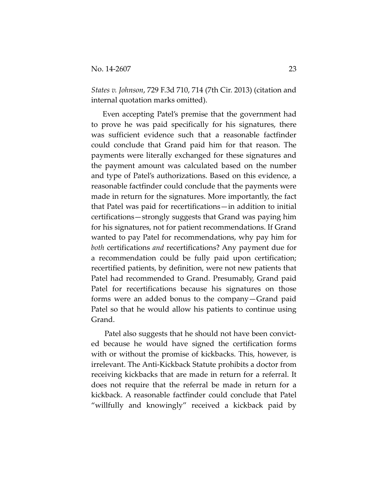*States v. Johnson*, 729 F.3d 710, 714 (7th Cir. 2013) (citation and internal quotation marks omitted).

Even accepting Patel's premise that the government had to prove he was paid specifically for his signatures, there was sufficient evidence such that a reasonable factfinder could conclude that Grand paid him for that reason. The payments were literally exchanged for these signatures and the payment amount was calculated based on the number and type of Patel's authorizations. Based on this evidence, a reasonable factfinder could conclude that the payments were made in return for the signatures. More importantly, the fact that Patel was paid for recertifications—in addition to initial certifications—strongly suggests that Grand was paying him for his signatures, not for patient recommendations. If Grand wanted to pay Patel for recommendations, why pay him for *both* certifications *and* recertifications? Any payment due for a recommendation could be fully paid upon certification; recertified patients, by definition, were not new patients that Patel had recommended to Grand. Presumably, Grand paid Patel for recertifications because his signatures on those forms were an added bonus to the company—Grand paid Patel so that he would allow his patients to continue using Grand.

Patel also suggests that he should not have been convicted because he would have signed the certification forms with or without the promise of kickbacks. This, however, is irrelevant. The Anti-Kickback Statute prohibits a doctor from receiving kickbacks that are made in return for a referral. It does not require that the referral be made in return for a kickback. A reasonable factfinder could conclude that Patel "willfully and knowingly" received a kickback paid by